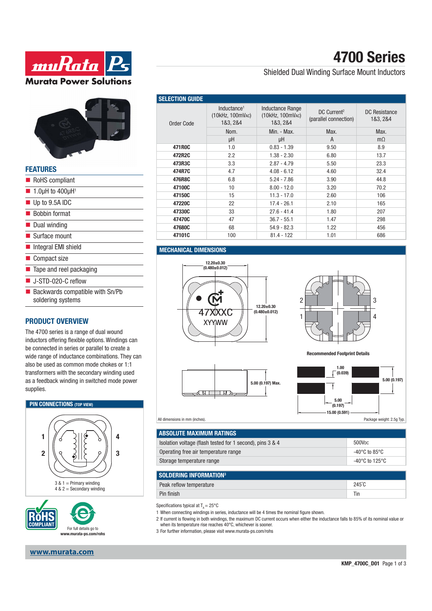



| <b>FEATURES</b>                                      |  |
|------------------------------------------------------|--|
| RoHS compliant                                       |  |
| $\blacksquare$ 1.0µH to 400µH <sup>1</sup>           |  |
| Up to 9.5A IDC                                       |  |
| <b>Bobbin format</b>                                 |  |
| ■ Dual winding                                       |  |
| ■ Surface mount                                      |  |
| Integral EMI shield                                  |  |
| ■ Compact size                                       |  |
| $\blacksquare$ Tape and reel packaging               |  |
| $\blacksquare$ J-STD-020-C reflow                    |  |
| Backwards compatible with Sn/Pb<br>soldering systems |  |

### **PRODUCT OVERVIEW**

The 4700 series is a range of dual wound inductors offering flexible options. Windings can be connected in series or parallel to create a wide range of inductance combinations. They can also be used as common mode chokes or 1:1 transformers with the secondary winding used as a feedback winding in switched mode power supplies.





**www.murata.com**

## **4700 Series**

### Shielded Dual Winding Surface Mount Inductors

| <b>SELECTION GUIDE</b> |                                                         |                                                         |                                                  |                           |
|------------------------|---------------------------------------------------------|---------------------------------------------------------|--------------------------------------------------|---------------------------|
| Order Code             | Inductance <sup>1</sup><br>(10kHz, 100mVAC)<br>1&3, 2&4 | <b>Inductance Range</b><br>(10kHz, 100mVAC)<br>1&3, 2&4 | DC Current <sup>2</sup><br>(parallel connection) | DC Resistance<br>1&3, 2&4 |
|                        | Nom.                                                    | Min. - Max.                                             | Max.                                             | Max.                      |
|                        | μH                                                      | μH                                                      | A                                                | $m\Omega$                 |
| 471R0C                 | 1.0                                                     | $0.83 - 1.39$                                           | 9.50                                             | 8.9                       |
| 472R2C                 | 2.2                                                     | $1.38 - 2.30$                                           | 6.80                                             | 13.7                      |
| 473R3C                 | 3.3                                                     | $2.87 - 4.79$                                           | 5.50                                             | 23.3                      |
| 474R7C                 | 4.7                                                     | $4.08 - 6.12$                                           | 4.60                                             | 32.4                      |
| 476R8C                 | 6.8                                                     | $5.24 - 7.86$                                           | 3.90                                             | 44.8                      |
| 47100C                 | 10                                                      | $8.00 - 12.0$                                           | 3.20                                             | 70.2                      |
| 47150C                 | 15                                                      | $11.3 - 17.0$                                           | 2.60                                             | 106                       |
| 47220C                 | 22                                                      | $17.4 - 26.1$                                           | 2.10                                             | 165                       |
| 47330C                 | 33                                                      | $27.6 - 41.4$                                           | 1.80                                             | 207                       |
| 47470C                 | 47                                                      | $36.7 - 55.1$                                           | 1.47                                             | 298                       |
| 47680C                 | 68                                                      | $54.9 - 82.3$                                           | 1.22                                             | 456                       |
| 47101C                 | 100                                                     | $81.4 - 122$                                            | 1.01                                             | 686                       |

#### **MECHANICAL DIMENSIONS**







**Recommended Footprint Details**



All dimensions in mm (inches).

| <b>ABSOLUTE MAXIMUM RATINGS</b>                           |                                     |
|-----------------------------------------------------------|-------------------------------------|
| Isolation voltage (flash tested for 1 second), pins 3 & 4 | 500V <sub>DC</sub>                  |
| Operating free air temperature range                      | -40°C to 85°C                       |
| Storage temperature range                                 | $-40^{\circ}$ C to 125 $^{\circ}$ C |
|                                                           |                                     |
| <b>SOLDERING INFORMATION3</b>                             |                                     |
| Peak reflow temperature                                   | $245^{\circ}$ C                     |
|                                                           |                                     |

Pin finish Ting and the contract of the contract of the contract of the contract of the contract of the contract of the contract of the contract of the contract of the contract of the contract of the contract of the contra

Specifications typical at  $T_a = 25^{\circ}$ C

1 When connecting windings in series, inductance will be 4 times the nominal figure shown.

- 2 If current is flowing in both windings, the maximum DC current occurs when either the inductance falls to 85% of its nominal value or when its temperature rise reaches 40°C, whichever is sooner.
- 3 For further information, please visit www.murata-ps.com/rohs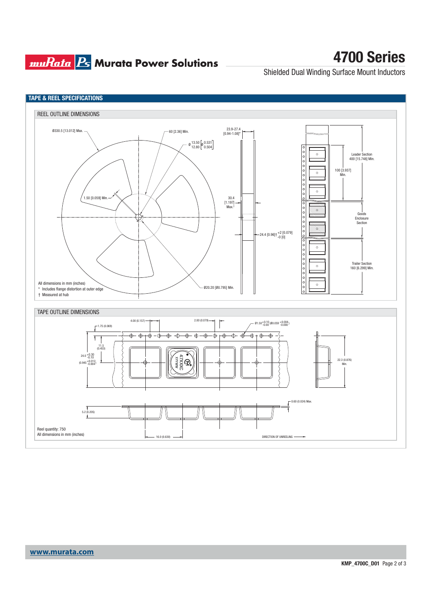## **muRata Ps** Murata Power Solutions

# **4700 Series**

Shielded Dual Winding Surface Mount Inductors